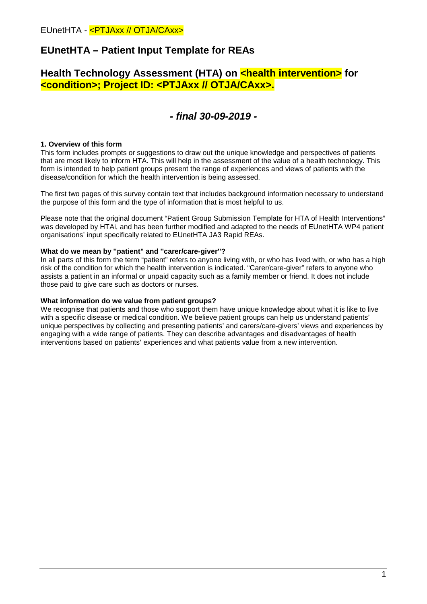# **EUnetHTA – Patient Input Template for REAs**

# **Health Technology Assessment (HTA) on <b><health intervention>** for **<condition>; Project ID: <PTJAxx // OTJA/CAxx>.**

# *- final 30-09-2019 -*

# **1. Overview of this form**

This form includes prompts or suggestions to draw out the unique knowledge and perspectives of patients that are most likely to inform HTA. This will help in the assessment of the value of a health technology. This form is intended to help patient groups present the range of experiences and views of patients with the disease/condition for which the health intervention is being assessed.

The first two pages of this survey contain text that includes background information necessary to understand the purpose of this form and the type of information that is most helpful to us.

Please note that the original document "Patient Group Submission Template for HTA of Health Interventions" was developed by HTAi, and has been further modified and adapted to the needs of EUnetHTA WP4 patient organisations' input specifically related to EUnetHTA JA3 Rapid REAs.

## **What do we mean by ''patient" and ''carer/care-giver''?**

In all parts of this form the term "patient" refers to anyone living with, or who has lived with, or who has a high risk of the condition for which the health intervention is indicated. "Carer/care-giver" refers to anyone who assists a patient in an informal or unpaid capacity such as a family member or friend. It does not include those paid to give care such as doctors or nurses.

### **What information do we value from patient groups?**

We recognise that patients and those who support them have unique knowledge about what it is like to live with a specific disease or medical condition. We believe patient groups can help us understand patients' unique perspectives by collecting and presenting patients' and carers/care-givers' views and experiences by engaging with a wide range of patients. They can describe advantages and disadvantages of health interventions based on patients' experiences and what patients value from a new intervention.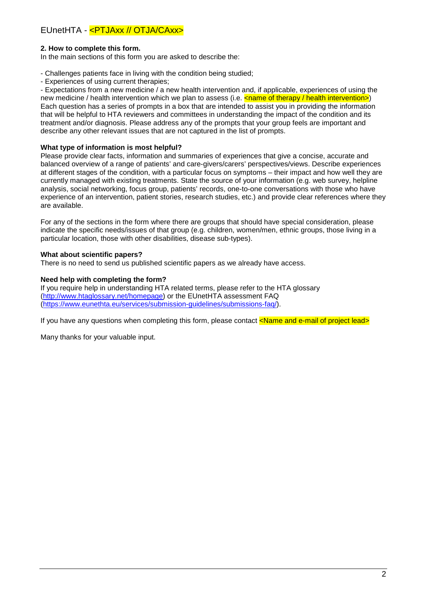# **2. How to complete this form.**

In the main sections of this form you are asked to describe the:

- Challenges patients face in living with the condition being studied;
- Experiences of using current therapies;

- Expectations from a new medicine / a new health intervention and, if applicable, experiences of using the new medicine / health intervention which we plan to assess (i.e.  $\frac{1}{2}$  and  $\frac{1}{2}$  health intervention>) Each question has a series of prompts in a box that are intended to assist you in providing the information that will be helpful to HTA reviewers and committees in understanding the impact of the condition and its treatment and/or diagnosis. Please address any of the prompts that your group feels are important and describe any other relevant issues that are not captured in the list of prompts.

### **What type of information is most helpful?**

Please provide clear facts, information and summaries of experiences that give a concise, accurate and balanced overview of a range of patients' and care-givers/carers' perspectives/views. Describe experiences at different stages of the condition, with a particular focus on symptoms – their impact and how well they are currently managed with existing treatments. State the source of your information (e.g. web survey, helpline analysis, social networking, focus group, patients' records, one-to-one conversations with those who have experience of an intervention, patient stories, research studies, etc.) and provide clear references where they are available.

For any of the sections in the form where there are groups that should have special consideration, please indicate the specific needs/issues of that group (e.g. children, women/men, ethnic groups, those living in a particular location, those with other disabilities, disease sub-types).

## **What about scientific papers?**

There is no need to send us published scientific papers as we already have access.

## **Need help with completing the form?**

If you require help in understanding HTA related terms, please refer to the HTA glossary [\(http://www.htaglossary.net/homepage\)](http://www.htaglossary.net/homepage) or the EUnetHTA assessment FAQ [\(https://www.eunethta.eu/services/submission-guidelines/submissions-faq/\)](https://www.eunethta.eu/services/submission-guidelines/submissions-faq/).

If you have any questions when completing this form, please contact  $\langle$ Name and e-mail of project lead>

Many thanks for your valuable input.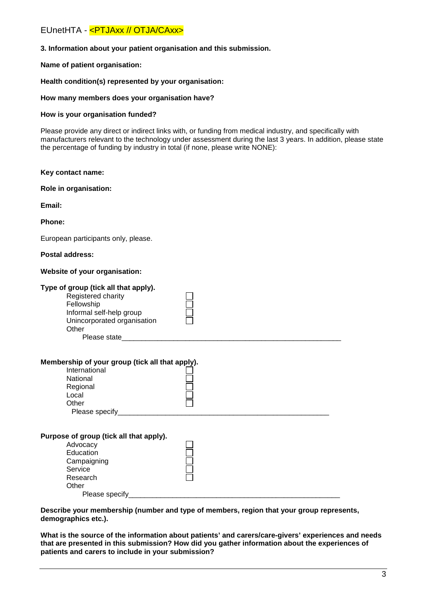### **3. Information about your patient organisation and this submission.**

### **Name of patient organisation:**

#### **Health condition(s) represented by your organisation:**

#### **How many members does your organisation have?**

#### **How is your organisation funded?**

Please provide any direct or indirect links with, or funding from medical industry, and specifically with manufacturers relevant to the technology under assessment during the last 3 years. In addition, please state the percentage of funding by industry in total (if none, please write NONE):

#### **Key contact name:**

**Role in organisation:**

**Email:**

#### **Phone:**

European participants only, please.

#### **Postal address:**

#### **Website of your organisation:**

# **Type of group (tick all that apply).** Registered charity Fellowship Informal self-help group Unincorporated organisation **Other** Please state\_ **Membership of your group (tick all that apply).** International National Regional Local **Other** Please specify **Purpose of group (tick all that apply).** Advocacy Education **Campaigning Service** Research **Other** Please specify

**Describe your membership (number and type of members, region that your group represents, demographics etc.).**

**What is the source of the information about patients' and carers/care-givers' experiences and needs that are presented in this submission? How did you gather information about the experiences of patients and carers to include in your submission?**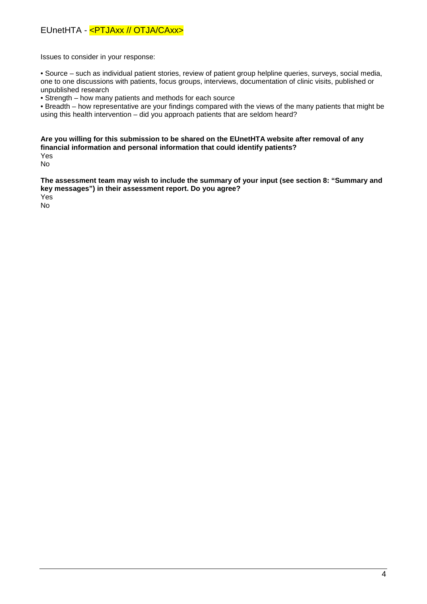Issues to consider in your response:

• Source – such as individual patient stories, review of patient group helpline queries, surveys, social media, one to one discussions with patients, focus groups, interviews, documentation of clinic visits, published or unpublished research

• Strength – how many patients and methods for each source

• Breadth – how representative are your findings compared with the views of the many patients that might be using this health intervention – did you approach patients that are seldom heard?

**Are you willing for this submission to be shared on the EUnetHTA website after removal of any financial information and personal information that could identify patients?** Yes

No

**The assessment team may wish to include the summary of your input (see section 8: "Summary and key messages") in their assessment report. Do you agree?** 

Yes

No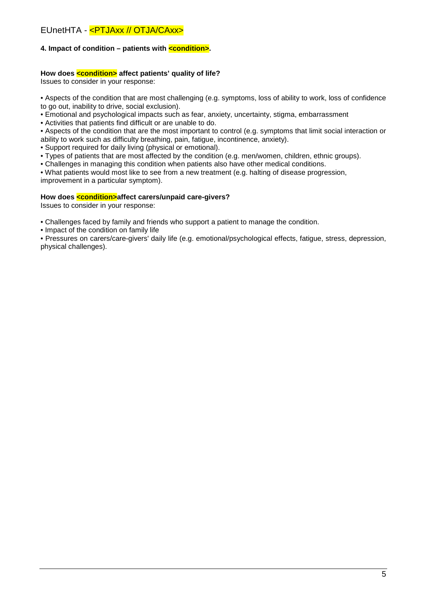# **4. Impact of condition – patients with <condition>.**

## **How does <condition> affect patients' quality of life?**

Issues to consider in your response:

• Aspects of the condition that are most challenging (e.g. symptoms, loss of ability to work, loss of confidence to go out, inability to drive, social exclusion).

• Emotional and psychological impacts such as fear, anxiety, uncertainty, stigma, embarrassment

• Activities that patients find difficult or are unable to do.

• Aspects of the condition that are the most important to control (e.g. symptoms that limit social interaction or ability to work such as difficulty breathing, pain, fatigue, incontinence, anxiety).

• Support required for daily living (physical or emotional).

• Types of patients that are most affected by the condition (e.g. men/women, children, ethnic groups).

• Challenges in managing this condition when patients also have other medical conditions.

• What patients would most like to see from a new treatment (e.g. halting of disease progression, improvement in a particular symptom).

#### **How does <condition>affect carers/unpaid care-givers?**

Issues to consider in your response:

• Challenges faced by family and friends who support a patient to manage the condition.

• Impact of the condition on family life

• Pressures on carers/care-givers' daily life (e.g. emotional/psychological effects, fatigue, stress, depression, physical challenges).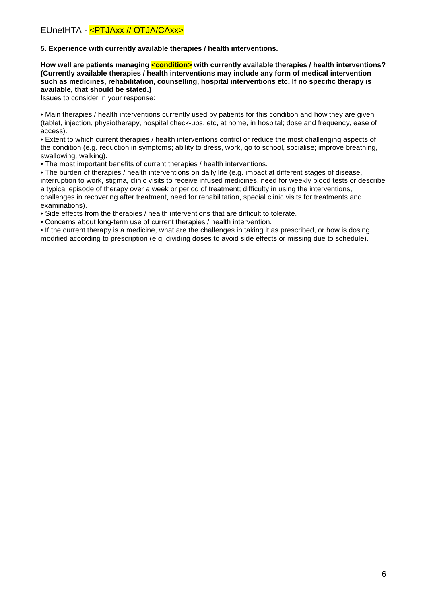**5. Experience with currently available therapies / health interventions.**

**How well are patients managing <condition> with currently available therapies / health interventions? (Currently available therapies / health interventions may include any form of medical intervention such as medicines, rehabilitation, counselling, hospital interventions etc. If no specific therapy is available, that should be stated.)**

Issues to consider in your response:

• Main therapies / health interventions currently used by patients for this condition and how they are given (tablet, injection, physiotherapy, hospital check-ups, etc, at home, in hospital; dose and frequency, ease of access).

• Extent to which current therapies / health interventions control or reduce the most challenging aspects of the condition (e.g. reduction in symptoms; ability to dress, work, go to school, socialise; improve breathing, swallowing, walking).

• The most important benefits of current therapies / health interventions.

• The burden of therapies / health interventions on daily life (e.g. impact at different stages of disease, interruption to work, stigma, clinic visits to receive infused medicines, need for weekly blood tests or describe a typical episode of therapy over a week or period of treatment; difficulty in using the interventions, challenges in recovering after treatment, need for rehabilitation, special clinic visits for treatments and examinations).

• Side effects from the therapies / health interventions that are difficult to tolerate.

• Concerns about long-term use of current therapies / health intervention.

• If the current therapy is a medicine, what are the challenges in taking it as prescribed, or how is dosing modified according to prescription (e.g. dividing doses to avoid side effects or missing due to schedule).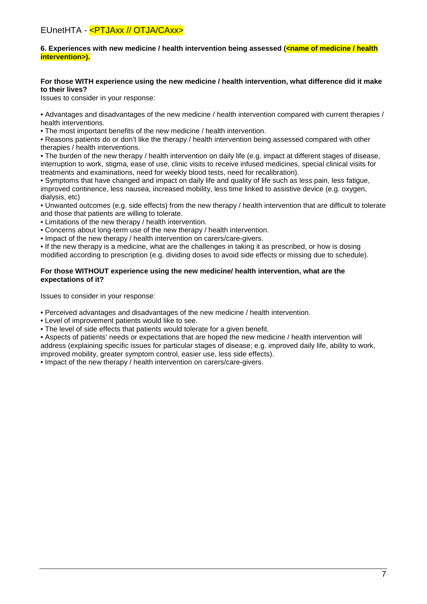## **6. Experiences with new medicine / health intervention being assessed (<name of medicine / health intervention>).**

## **For those WITH experience using the new medicine / health intervention, what difference did it make to their lives?**

Issues to consider in your response:

• Advantages and disadvantages of the new medicine / health intervention compared with current therapies / health interventions.

• The most important benefits of the new medicine / health intervention.

• Reasons patients do or don't like the therapy / health intervention being assessed compared with other therapies / health interventions.

• The burden of the new therapy / health intervention on daily life (e.g. impact at different stages of disease, interruption to work, stigma, ease of use, clinic visits to receive infused medicines, special clinical visits for treatments and examinations, need for weekly blood tests, need for recalibration).

• Symptoms that have changed and impact on daily life and quality of life such as less pain, less fatigue, improved continence, less nausea, increased mobility, less time linked to assistive device (e.g. oxygen, dialysis, etc)

• Unwanted outcomes (e.g. side effects) from the new therapy / health intervention that are difficult to tolerate and those that patients are willing to tolerate.

• Limitations of the new therapy / health intervention.

• Concerns about long-term use of the new therapy / health intervention.

• Impact of the new therapy / health intervention on carers/care-givers.

• If the new therapy is a medicine, what are the challenges in taking it as prescribed, or how is dosing

modified according to prescription (e.g. dividing doses to avoid side effects or missing due to schedule).

### **For those WITHOUT experience using the new medicine/ health intervention, what are the expectations of it?**

Issues to consider in your response:

• Perceived advantages and disadvantages of the new medicine / health intervention.

• Level of improvement patients would like to see.

• The level of side effects that patients would tolerate for a given benefit.

• Aspects of patients' needs or expectations that are hoped the new medicine / health intervention will address (explaining specific issues for particular stages of disease; e.g. improved daily life, ability to work, improved mobility, greater symptom control, easier use, less side effects).

• Impact of the new therapy / health intervention on carers/care-givers.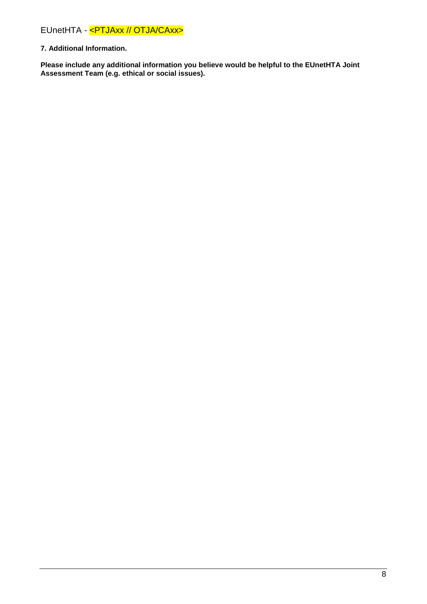# **7. Additional Information.**

**Please include any additional information you believe would be helpful to the EUnetHTA Joint Assessment Team (e.g. ethical or social issues).**